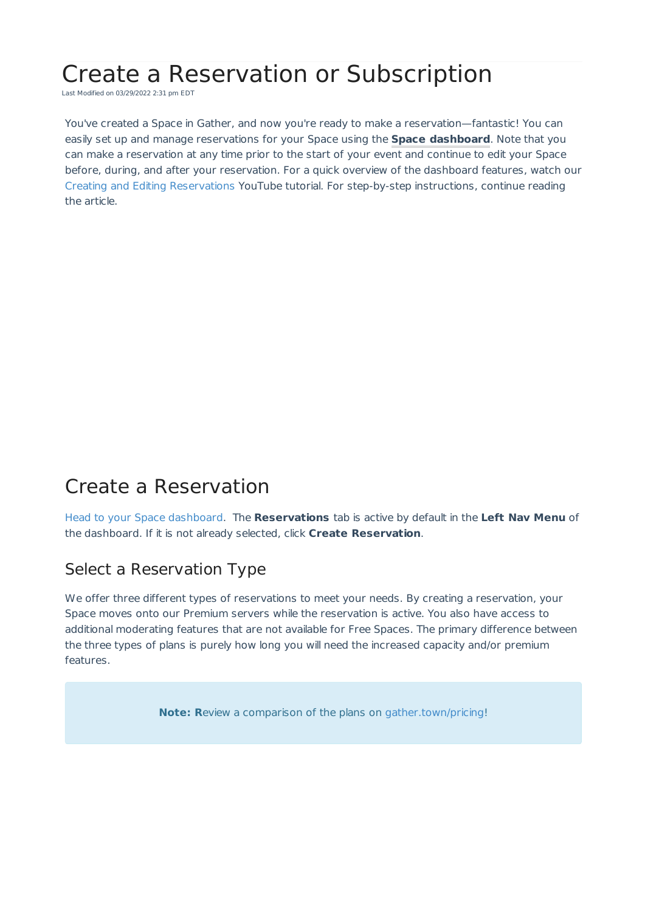# Create a Reservation or Subscription

Last Modified on 03/29/2022 2:31 pm EDT

You've created a Space in Gather, and now you're ready to make a reservation—fantastic! You can easily set up and manage reservations for your Space using the **Space dashboard**. Note that you can make a reservation at any time prior to the start of your event and continue to edit your Space before, during, and after your reservation. For a quick overview of the dashboard features, watch our Creating and Editing Reservations YouTube tutorial. For step-by-step instructions, continue reading the article.

# Create a Reservation

Head to your Space dashboard. The **Reservations** tab is active by default in the **Left Nav Menu** of the dashboard. If it is not already selected, click **Create Reservation**.

#### Select a Reservation Type

We offer three different types of reservations to meet your needs. By creating a reservation, your Space moves onto our Premium servers while the reservation is active. You also have access to additional moderating features that are not available for Free Spaces. The primary difference between the three types of plans is purely how long you will need the increased capacity and/or premium features.

**Note: R**eview a comparison of the plans on gather.town/pricing!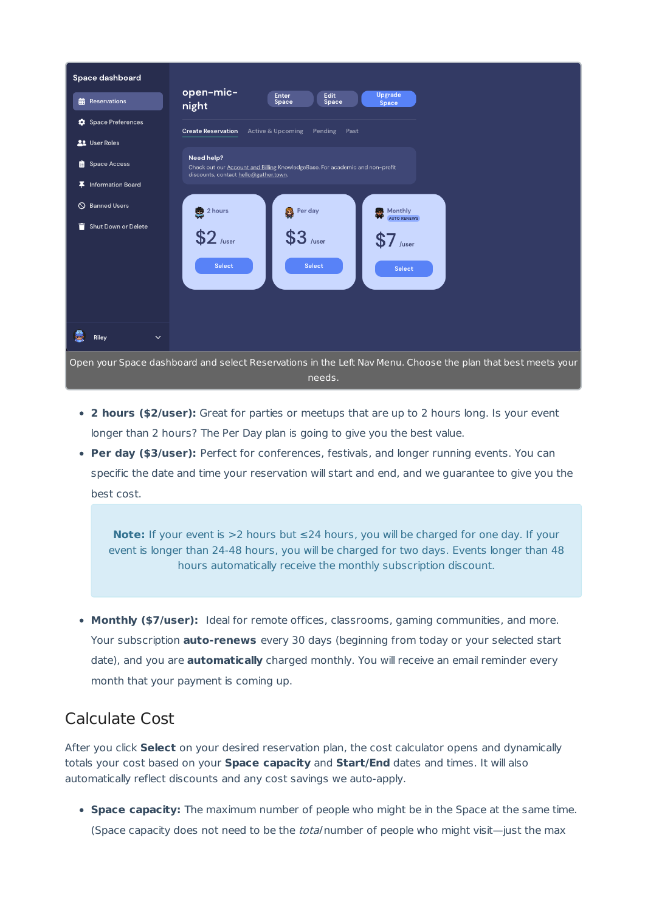

- **2 hours (\$2/user):** Great for parties or meetups that are up to 2 hours long. Is your event longer than 2 hours? The Per Day plan is going to give you the best value.
- **Per day (\$3/user):** Perfect for conferences, festivals, and longer running events. You can specific the date and time your reservation will start and end, and we guarantee to give you the best cost.

**Note:** If your event is >2 hours but ≤24 hours, you will be charged for one day. If your event is longer than 24-48 hours, you will be charged for two days. Events longer than 48 hours automatically receive the monthly subscription discount.

**Monthly (\$7/user):** Ideal for remote offices, classrooms, gaming communities, and more. Your subscription **auto-renews** every 30 days (beginning from today or your selected start date), and you are **automatically** charged monthly. You will receive an email reminder every month that your payment is coming up.

### Calculate Cost

After you click **Select** on your desired reservation plan, the cost calculator opens and dynamically totals your cost based on your **Space capacity** and **Start/End** dates and times. It will also automatically reflect discounts and any cost savings we auto-apply.

**Space capacity:** The maximum number of people who might be in the Space at the same time. (Space capacity does not need to be the *total* number of people who might visit—just the max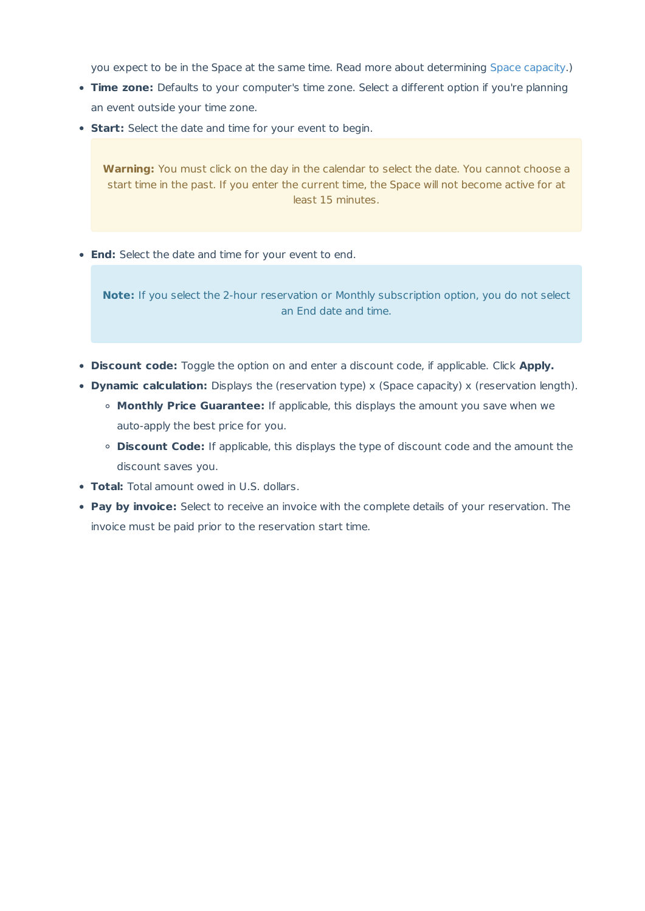you expect to be in the Space at the same time. Read more about determining Space capacity.)

- **Time zone:** Defaults to your computer's time zone. Select a different option if you're planning an event outside your time zone.
- **Start:** Select the date and time for your event to begin.

**Warning:** You must click on the day in the calendar to select the date. You cannot choose a start time in the past. If you enter the current time, the Space will not become active for at least 15 minutes.

**End:** Select the date and time for your event to end.

**Note:** If you select the 2-hour reservation or Monthly subscription option, you do not select an End date and time.

- **Discount code:** Toggle the option on and enter a discount code, if applicable. Click **Apply.**
- **Dynamic calculation:** Displays the (reservation type) x (Space capacity) x (reservation length).
	- **Monthly Price Guarantee:** If applicable, this displays the amount you save when we auto-apply the best price for you.
	- **Discount Code:** If applicable, this displays the type of discount code and the amount the discount saves you.
- **Total:** Total amount owed in U.S. dollars.
- **Pay by invoice:** Select to receive an invoice with the complete details of your reservation. The invoice must be paid prior to the reservation start time.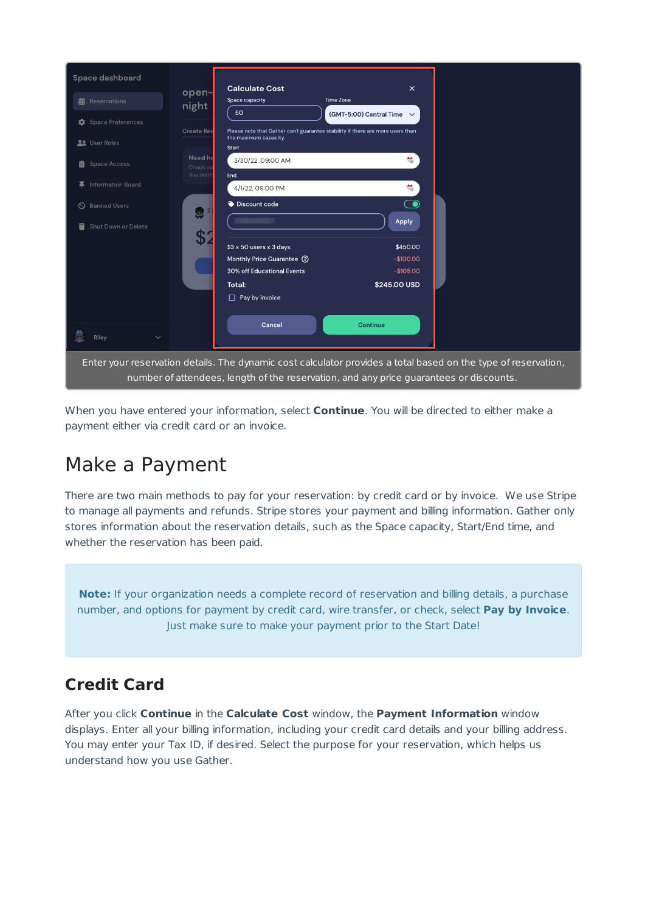| Space dashboard          | <b>Calculate Cost</b>                                                                                                                                                                                    |                                                                                | $\times$                  |  |  |  |
|--------------------------|----------------------------------------------------------------------------------------------------------------------------------------------------------------------------------------------------------|--------------------------------------------------------------------------------|---------------------------|--|--|--|
| <b>前</b> Reservations    | open-<br>Space capacity<br>night<br>50                                                                                                                                                                   | Time Zone                                                                      |                           |  |  |  |
| Space Preferences        |                                                                                                                                                                                                          | (GMT-5:00) Central Time $\vee$                                                 |                           |  |  |  |
| <b>AL</b> User Roles     | <b>Create Res</b><br>the maximum capacity.<br><b>Start</b>                                                                                                                                               | Please note that Gather can't guarantee stability if there are more users than |                           |  |  |  |
| <b>Space Access</b><br>眉 | Need he<br>3/30/22, 09:00 AM<br>Check or<br>discount                                                                                                                                                     |                                                                                | $\frac{1}{1+\frac{1}{2}}$ |  |  |  |
| Information Board<br>Ŧ.  | End<br>4/1/22, 09:00 PM                                                                                                                                                                                  |                                                                                | $\frac{1}{2}$             |  |  |  |
| S Banned Users           | Discount code<br>● 2                                                                                                                                                                                     |                                                                                | $\bigcirc$                |  |  |  |
| Shut Down or Delete<br>≡ | \$2                                                                                                                                                                                                      |                                                                                | Apply                     |  |  |  |
|                          | \$3 x 50 users x 3 days                                                                                                                                                                                  |                                                                                | \$450.00                  |  |  |  |
|                          | Monthly Price Guarantee (?)                                                                                                                                                                              |                                                                                | $-$100.00$                |  |  |  |
|                          | 30% off Educational Events                                                                                                                                                                               |                                                                                | $-$105.00$                |  |  |  |
|                          | Total:                                                                                                                                                                                                   |                                                                                | \$245.00 USD              |  |  |  |
|                          | Pay by invoice<br>□                                                                                                                                                                                      |                                                                                |                           |  |  |  |
| Riley<br>$\checkmark$    | Cancel                                                                                                                                                                                                   | Continue                                                                       |                           |  |  |  |
|                          | Enter your reservation details. The dynamic cost calculator provides a total based on the type of reservation,<br>number of attendees, length of the reservation, and any price guarantees or discounts. |                                                                                |                           |  |  |  |

When you have entered your information, select **Continue**. You will be directed to either make a payment either via credit card or an invoice.

# Make a Payment

There are two main methods to pay for your reservation: by credit card or by invoice. We use Stripe to manage all payments and refunds. Stripe stores your payment and billing information. Gather only stores information about the reservation details, such as the Space capacity, Start/End time, and whether the reservation has been paid.

**Note:** If your organization needs a complete record of reservation and billing details, a purchase number, and options for payment by credit card, wire transfer, or check, select **Pay by Invoice**. Just make sure to make your payment prior to the Start Date!

### **Credit Card**

After you click **Continue** in the **Calculate Cost** window, the **Payment Information** window displays. Enter all your billing information, including your credit card details and your billing address. You may enter your Tax ID, if desired. Select the purpose for your reservation, which helps us understand how you use Gather.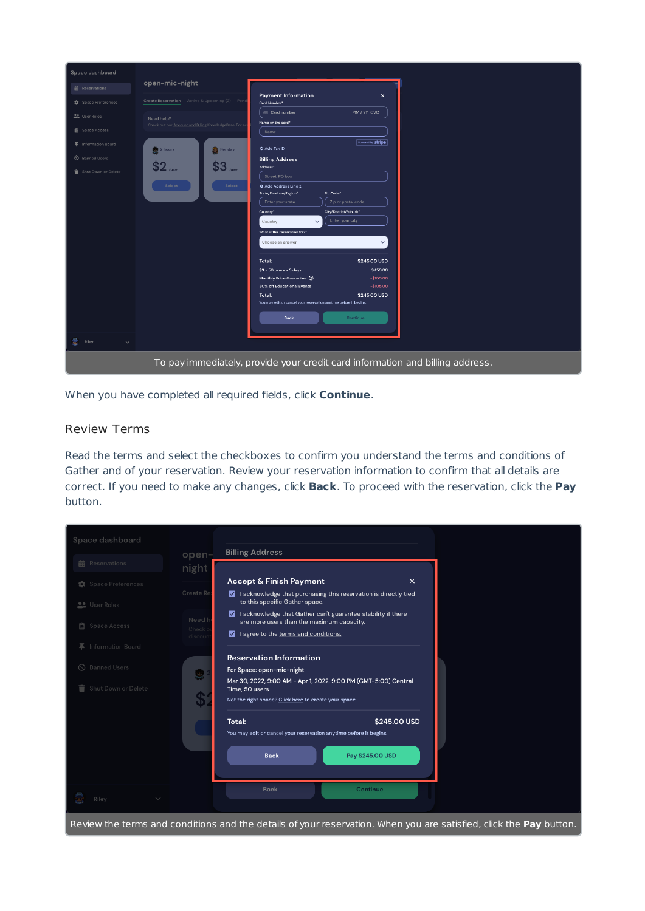| Space dashboard       |                                                                               |                                                                                |  |  |  |  |
|-----------------------|-------------------------------------------------------------------------------|--------------------------------------------------------------------------------|--|--|--|--|
| <b>前</b> Reservations | open-mic-night                                                                |                                                                                |  |  |  |  |
| Space Preferences     | Create Reservation Active & Upcoming (2) Pen                                  | <b>Payment Information</b><br>$\times$<br>Card Number*                         |  |  |  |  |
| <b>AL</b> User Roles  | Need help?                                                                    | <b>Em Card number</b><br>MM/YY CVC<br>Name on the card*                        |  |  |  |  |
| <b>B</b> Space Access | Check out our Account and Billing KnowledgeBase. For a                        | Name                                                                           |  |  |  |  |
| 幕 Information Board   | 2 hours<br>Per day                                                            | Powered by stripe<br><b>O</b> Add Tax ID                                       |  |  |  |  |
| S Banned Users        |                                                                               | <b>Billing Address</b>                                                         |  |  |  |  |
| Shut Down or Delete   | $$2$ /user<br>$$3$ /user                                                      | Address*<br>Street, PO box                                                     |  |  |  |  |
|                       | Select<br>Select                                                              | <b>O</b> Add Address Line 2<br>State/Province/Region*<br>Zip Code*             |  |  |  |  |
|                       |                                                                               | Enter your state<br>Zip or postal code<br>City/District/Suburb*                |  |  |  |  |
|                       |                                                                               | Country*<br>Enter your city<br>Country<br>$\checkmark$                         |  |  |  |  |
|                       |                                                                               | What is this reservation for?*                                                 |  |  |  |  |
|                       |                                                                               | Choose an answer<br>$\checkmark$                                               |  |  |  |  |
|                       |                                                                               | Total:<br>\$245.00 USD                                                         |  |  |  |  |
|                       |                                                                               | \$3 x 50 users x 3 days<br>\$450.00<br>Monthly Price Guarantee 2<br>$-$100.00$ |  |  |  |  |
|                       |                                                                               | 30% off Educational Events<br>$-$105.00$                                       |  |  |  |  |
|                       |                                                                               | \$245.00 USD<br>Total:                                                         |  |  |  |  |
|                       |                                                                               | You may edit or cancel your reservation anytime before it begins.              |  |  |  |  |
|                       |                                                                               | <b>Back</b><br>Continue                                                        |  |  |  |  |
| Riley<br>$\checkmark$ |                                                                               |                                                                                |  |  |  |  |
|                       | To pay immediately, provide your credit card information and billing address. |                                                                                |  |  |  |  |

When you have completed all required fields, click **Continue**.

#### Review Terms

Read the terms and select the checkboxes to confirm you understand the terms and conditions of Gather and of your reservation. Review your reservation information to confirm that all details are correct. If you need to make any changes, click **Back**. To proceed with the reservation, click the **Pay** button.

| Space dashboard            |                   |                                                                                                                                           |                  |  |
|----------------------------|-------------------|-------------------------------------------------------------------------------------------------------------------------------------------|------------------|--|
| <b>前</b> Reservations      | open-<br>night    | <b>Billing Address</b>                                                                                                                    |                  |  |
| <b>卷</b> Space Preferences |                   | <b>Accept &amp; Finish Payment</b>                                                                                                        | $\times$         |  |
| <b>Le</b> User Roles       | Create Re         | I acknowledge that purchasing this reservation is directly tied<br>to this specific Gather space.                                         |                  |  |
| 自 Space Access             | Need h<br>Check o | I acknowledge that Gather can't guarantee stability if there<br>M<br>are more users than the maximum capacity.                            |                  |  |
| 平 Information Board        | discoun           | I agree to the terms and conditions.<br>⊠                                                                                                 |                  |  |
| <b>S</b> Banned Users      | Ş                 | <b>Reservation Information</b><br>For Space: open-mic-night                                                                               |                  |  |
| Shut Down or Delete        | \$                | Mar 30, 2022, 9:00 AM - Apr 1, 2022, 9:00 PM (GMT-5:00) Central<br>Time, 50 users<br>Not the right space? Click here to create your space |                  |  |
|                            |                   | Total:                                                                                                                                    | \$245,00 USD     |  |
|                            |                   | You may edit or cancel your reservation anytime before it begins.                                                                         |                  |  |
|                            |                   | <b>Back</b>                                                                                                                               | Pay \$245.00 USD |  |
|                            |                   | <b>Back</b>                                                                                                                               | Continue         |  |
| Riley                      |                   |                                                                                                                                           |                  |  |

Review the terms and conditions and the details of your reservation. When you are satisfied, click the **Pay** button.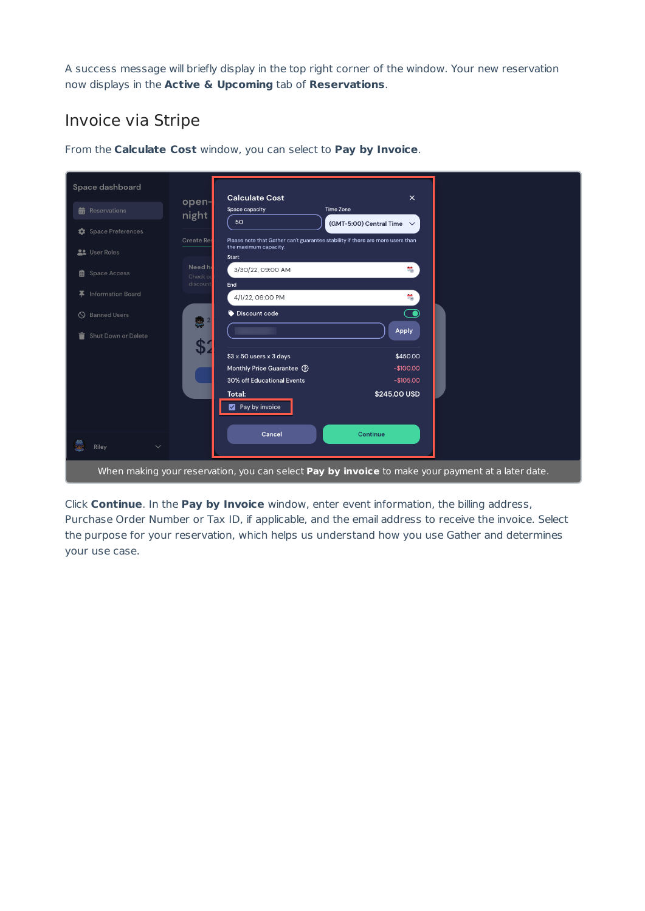A success message will briefly display in the top right corner of the window. Your new reservation now displays in the **Active & Upcoming** tab of **Reservations**.

### Invoice via Stripe

| Space dashboard                | <b>Calculate Cost</b>                                                                             |                                                                                | $\times$                       |  |
|--------------------------------|---------------------------------------------------------------------------------------------------|--------------------------------------------------------------------------------|--------------------------------|--|
| <b>前</b> Reservations          | open-<br>Space capacity<br>night                                                                  | Time Zone                                                                      |                                |  |
| <b>C</b> Space Preferences     | 50<br><b>Create Res</b>                                                                           | Please note that Gather can't guarantee stability if there are more users than | (GMT-5:00) Central Time $\vee$ |  |
| <b>At</b> User Roles           | the maximum capacity.<br>Start                                                                    |                                                                                |                                |  |
| <b>自</b> Space Access          | Need he<br>3/30/22, 09:00 AM<br>Check of                                                          |                                                                                | $\frac{1}{2}$                  |  |
| Information Board<br>x.        | discount<br>End<br>4/1/22, 09:00 PM                                                               |                                                                                | $\frac{1}{100}$                |  |
| <b>Banned Users</b><br>$\circ$ | Discount code<br>象 2                                                                              |                                                                                | $\bf \odot$                    |  |
| Shut Down or Delete<br>û       | \$2                                                                                               |                                                                                | Apply                          |  |
|                                | \$3 x 50 users x 3 days                                                                           |                                                                                | \$450.00                       |  |
|                                | Monthly Price Guarantee (?)<br>30% off Educational Events                                         |                                                                                | $-$100.00$<br>$-$105.00$       |  |
|                                | Total:<br>Pay by invoice                                                                          |                                                                                | \$245.00 USD                   |  |
| S<br>$\checkmark$<br>Riley     | Cancel                                                                                            |                                                                                | Continue                       |  |
|                                | When making your reservation, you can select Pay by invoice to make your payment at a later date. |                                                                                |                                |  |

From the **Calculate Cost** window, you can select to **Pay by Invoice**.

Click **Continue**. In the **Pay by Invoice** window, enter event information, the billing address, Purchase Order Number or Tax ID, if applicable, and the email address to receive the invoice. Select the purpose for your reservation, which helps us understand how you use Gather and determines your use case.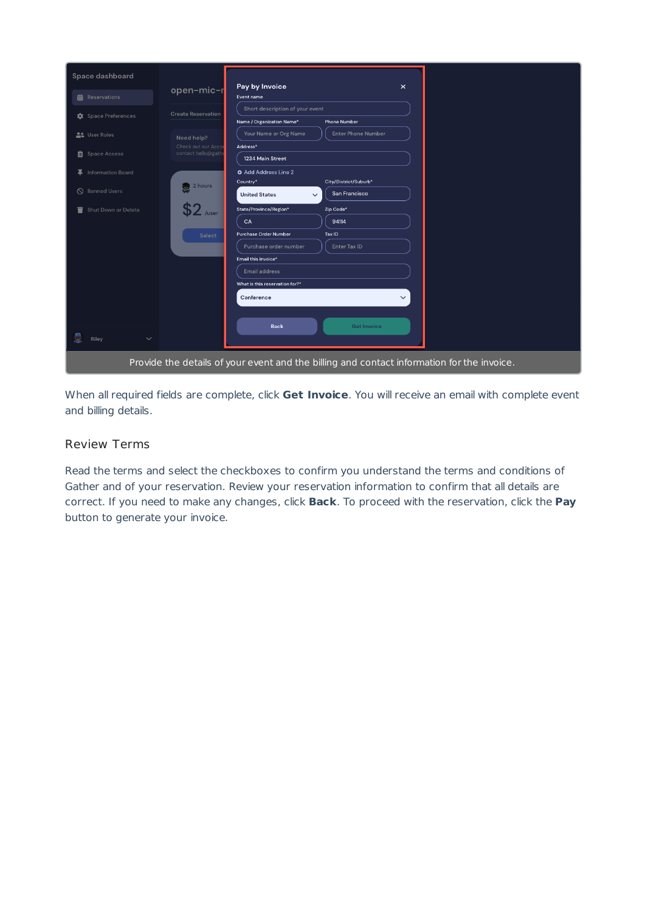|   | Space dashboard             |                           |                                          |                                                                                            |  |  |
|---|-----------------------------|---------------------------|------------------------------------------|--------------------------------------------------------------------------------------------|--|--|
|   | <b>前</b> Reservations       | open-mic-r                | Pay by Invoice<br>$\times$<br>Event name |                                                                                            |  |  |
|   |                             | <b>Create Reservation</b> | Short description of your event          |                                                                                            |  |  |
|   | <b>**</b> Space Preferences |                           | Name / Organization Name*                | <b>Phone Number</b>                                                                        |  |  |
|   | <b>AL</b> User Roles        | Need help?                | Your Name or Org Name                    | <b>Enter Phone Number</b>                                                                  |  |  |
|   |                             | Check out our Acco        | Address*                                 |                                                                                            |  |  |
|   | <b>自</b> Space Access       | contact hello@gath        | 1234 Main Street                         |                                                                                            |  |  |
|   | 平 Information Board         |                           | <b>O</b> Add Address Line 2              |                                                                                            |  |  |
|   |                             | 2 hours                   | Country*                                 | City/District/Suburb*                                                                      |  |  |
|   | S Banned Users              |                           | <b>United States</b><br>$\checkmark$     | San Francisco                                                                              |  |  |
| ਵ | Shut Down or Delete         | /user                     | State/Province/Region*                   | Zip Code*                                                                                  |  |  |
|   |                             |                           | CA                                       | 94114                                                                                      |  |  |
|   |                             | <b>Select</b>             | <b>Purchase Order Number</b>             | Tax ID                                                                                     |  |  |
|   |                             |                           | Purchase order number                    | Enter Tax ID                                                                               |  |  |
|   |                             |                           | Email this invoice*                      |                                                                                            |  |  |
|   |                             |                           | <b>Email address</b>                     |                                                                                            |  |  |
|   |                             |                           | What is this reservation for?*           |                                                                                            |  |  |
|   |                             |                           | Conference                               | $\checkmark$                                                                               |  |  |
|   |                             |                           |                                          |                                                                                            |  |  |
|   |                             |                           | <b>Back</b>                              | <b>Get Invoice</b>                                                                         |  |  |
| 軍 | $\checkmark$<br>Riley       |                           |                                          |                                                                                            |  |  |
|   |                             |                           |                                          | Provide the details of your event and the billing and contact information for the invoice. |  |  |

When all required fields are complete, click **Get Invoice**. You will receive an email with complete event and billing details.

#### Review Terms

Read the terms and select the checkboxes to confirm you understand the terms and conditions of Gather and of your reservation. Review your reservation information to confirm that all details are correct. If you need to make any changes, click **Back**. To proceed with the reservation, click the **Pay** button to generate your invoice.